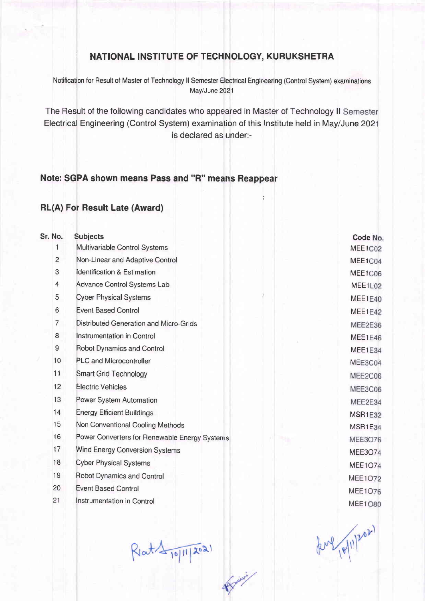## NATIONAL INSTITUTE OF TECHNOLOGY, KURUKSHETRA

Notification for Result of Master of Technology II Semester Electrical Engineering (Control System) examinations May/June 2021

The Result of the following candidates who appeared in Master of Technology II Semester Electrical Engineering (Control System) examination of this Institute held in May/June 2021 is declared as under:-

## Note: SGPA shown means Pass and "R" means Reappear

## RL(A) For Result Late (Award)

| Sr. No. | <b>Subjects</b>                               |  |  |  |  |
|---------|-----------------------------------------------|--|--|--|--|
| 1       | Multivariable Control Systems                 |  |  |  |  |
| 2       | Non-Linear and Adaptive Control               |  |  |  |  |
| 3       | <b>Identification &amp; Estimation</b>        |  |  |  |  |
| 4       | Advance Control Systems Lab                   |  |  |  |  |
| 5       | <b>Cyber Physical Systems</b>                 |  |  |  |  |
| 6       | <b>Event Based Control</b>                    |  |  |  |  |
| 7       | Distributed Generation and Micro-Grids        |  |  |  |  |
| 8       | Instrumentation in Control                    |  |  |  |  |
| 9       | Robot Dynamics and Control                    |  |  |  |  |
| 10      | <b>PLC and Microcontroller</b>                |  |  |  |  |
| 11      | <b>Smart Grid Technology</b>                  |  |  |  |  |
| 12      | <b>Electric Vehicles</b>                      |  |  |  |  |
| 13      | Power System Automation                       |  |  |  |  |
| 14      | <b>Energy Efficient Buildings</b>             |  |  |  |  |
| 15      | Non Conventional Cooling Methods              |  |  |  |  |
| 16      | Power Converters for Renewable Energy Systems |  |  |  |  |
| 17      | Wind Energy Conversion Systems                |  |  |  |  |
| 18      | <b>Cyber Physical Systems</b>                 |  |  |  |  |
| 19      | <b>Robot Dynamics and Control</b>             |  |  |  |  |
| 20      | <b>Event Based Control</b>                    |  |  |  |  |
| 21      | <b>Instrumentation in Control</b>             |  |  |  |  |
|         |                                               |  |  |  |  |

 $Riat 19112021$ 

**Spoint !** 

Code No. MEE1C02 MEE1C04 MEE1C06 MEE1L02 MEE1E40 MEE1E42 MEE2E36 MEE1E46 MEE1E34 MEE3C04 MEE2C06 MEE3C06 MEE2E34 **MSR1E32** MSR1E34 **MEE3O76 MEE3O74 MEE1O74 MEE1O72 MEE1076 MEE1O80** 

(2nd 10/11/202)